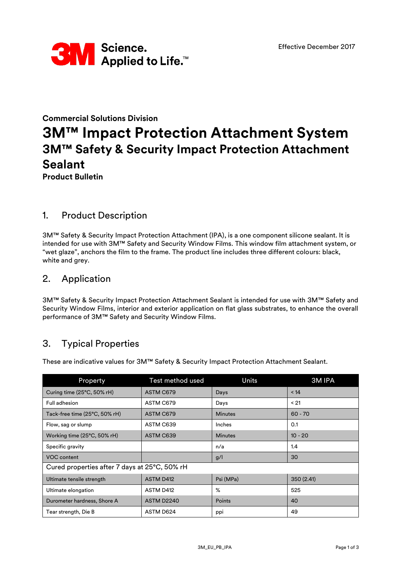

# **Commercial Solutions Division 3M™ Impact Protection Attachment System 3M™ Safety & Security Impact Protection Attachment Sealant Product Bulletin**

### 1. Product Description

3M™ Safety & Security Impact Protection Attachment (IPA), is a one component silicone sealant. It is intended for use with 3M™ Safety and Security Window Films. This window film attachment system, or "wet glaze", anchors the film to the frame. The product line includes three different colours: black, white and grey.

### 2. Application

3M™ Safety & Security Impact Protection Attachment Sealant is intended for use with 3M™ Safety and Security Window Films, interior and exterior application on flat glass substrates, to enhance the overall performance of 3M™ Safety and Security Window Films.

# 3. Typical Properties

Property Test method used Units 3M IPA Curing time (25°C, 50% rH) ASTM C679 2012 Days 214 Full adhesion ASTM C679 Days < 21 Tack-free time  $(25^{\circ}C, 50^{\circ}c$  rH) ASTM C679 Minutes Minutes 60 - 70 Flow, sag or slump ASTM C639 Inches 1.0.1 Working time (25°C, 50% rH) | ASTM C639 | Minutes | Minutes | 10 - 20 Specific gravity and the set of the set of the set of the set of the set of the set of the set of the set of the set of the set of the set of the set of the set of the set of the set of the set of the set of the set of the VOC content g/l 30 Cured properties after 7 days at 25°C, 50% rH Ultimate tensile strength ASTM D412 | Psi (MPa) | 350 (2.41) Ultimate elongation **ASTM D412** % 525 Durometer hardness, Shore A ASTM D2240 Points 40 Tear strength, Die B  $\vert$  ASTM D624 ppi  $\vert$  49

These are indicative values for 3M™ Safety & Security Impact Protection Attachment Sealant.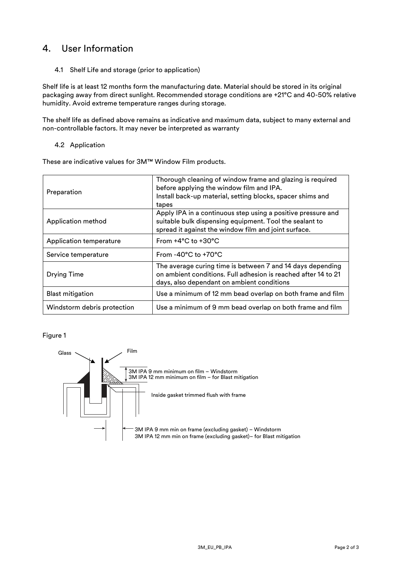# 4. User Information

4.1 Shelf Life and storage (prior to application)

Shelf life is at least 12 months form the manufacturing date. Material should be stored in its original packaging away from direct sunlight. Recommended storage conditions are +21°C and 40-50% relative humidity. Avoid extreme temperature ranges during storage.

The shelf life as defined above remains as indicative and maximum data, subject to many external and non-controllable factors. It may never be interpreted as warranty

#### 4.2 Application

These are indicative values for 3M™ Window Film products.

| Preparation                    | Thorough cleaning of window frame and glazing is required<br>before applying the window film and IPA.<br>Install back-up material, setting blocks, spacer shims and<br>tapes    |
|--------------------------------|---------------------------------------------------------------------------------------------------------------------------------------------------------------------------------|
| Application method             | Apply IPA in a continuous step using a positive pressure and<br>suitable bulk dispensing equipment. Tool the sealant to<br>spread it against the window film and joint surface. |
| <b>Application temperature</b> | From $+4^{\circ}$ C to $+30^{\circ}$ C                                                                                                                                          |
| Service temperature            | From $-40^{\circ}$ C to $+70^{\circ}$ C                                                                                                                                         |
| <b>Drying Time</b>             | The average curing time is between 7 and 14 days depending<br>on ambient conditions. Full adhesion is reached after 14 to 21<br>days, also dependant on ambient conditions      |
| <b>Blast mitigation</b>        | Use a minimum of 12 mm bead overlap on both frame and film                                                                                                                      |
| Windstorm debris protection    | Use a minimum of 9 mm bead overlap on both frame and film                                                                                                                       |

#### Figure 1